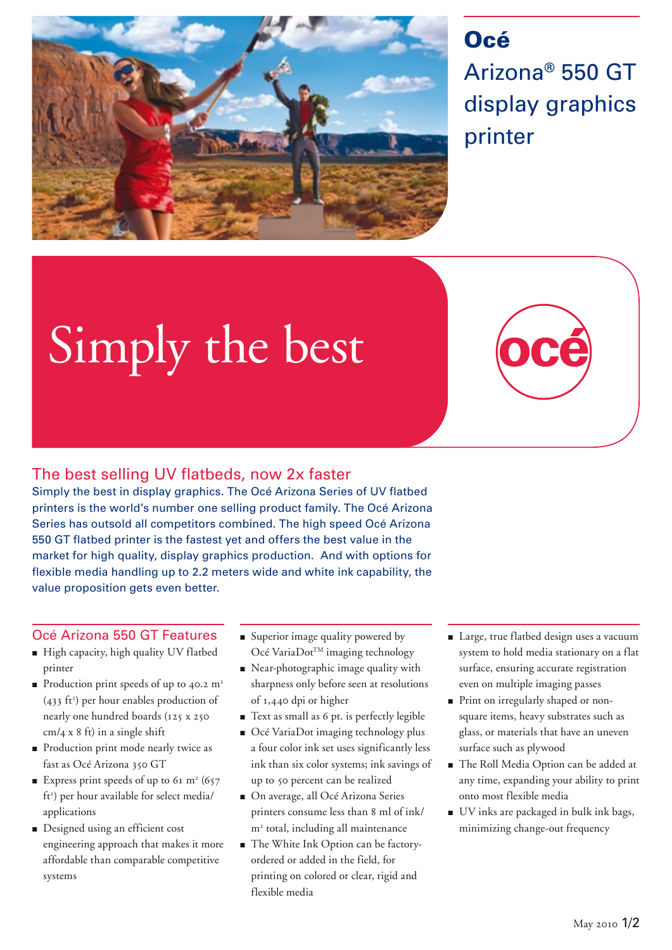

## **Océ** Arizona® 550 GT display graphics printer

# Simply the best

### The best selling UV flatbeds, now 2x faster

Simply the best in display graphics. The Océ Arizona Series of UV flatbed printers is the world's number one selling product family. The Océ Arizona Series has outsold all competitors combined. The high speed Océ Arizona 550 GT flatbed printer is the fastest yet and offers the best value in the market for high quality, display graphics production. And with options for flexible media handling up to 2.2 meters wide and white ink capability, the value proposition gets even better.

#### Océ Arizona 550 GT Features

- High capacity, high quality UV flatbed printer
- **•** Production print speeds of up to 40.2  $m^2$  $(433 \text{ ft}^2)$  per hour enables production of nearly one hundred boards (125 x 250  $cm/a$  x 8 ft) in a single shift
- **Production print mode nearly twice as** fast as Océ Arizona 350 GT
- Express print speeds of up to 61  $m<sup>2</sup>$  (657 ft<sup>2</sup>) per hour available for select media/ applications
- **Designed using an efficient cost** engineering approach that makes it more affordable than comparable competitive systems
- Superior image quality powered by Océ VariaDot™ imaging technology
- Near-photographic image quality with sharpness only before seen at resolutions of 1,440 dpi or higher
- Text as small as 6 pt. is perfectly legible
- Océ VariaDot imaging technology plus a four color ink set uses significantly less ink than six color systems; ink savings of up to 50 percent can be realized
- On average, all Océ Arizona Series printers consume less than 8 ml of ink/ m2 total, including all maintenance
- The White Ink Option can be factoryordered or added in the field, for printing on colored or clear, rigid and flexible media
- **Large, true flatbed design uses a vacuum** system to hold media stationary on a flat surface, ensuring accurate registration even on multiple imaging passes
- Print on irregularly shaped or nonsquare items, heavy substrates such as glass, or materials that have an uneven surface such as plywood
- The Roll Media Option can be added at any time, expanding your ability to print onto most flexible media
- UV inks are packaged in bulk ink bags, minimizing change-out frequency